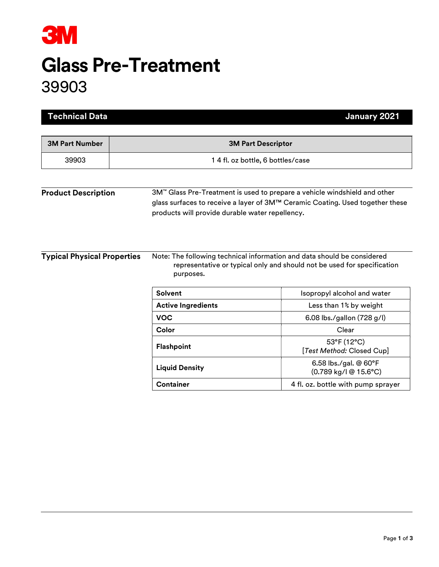

## Glass Pre-Treatment 39903

| <b>Technical Data</b>              |                                                 | January 2021                                                                                                                                               |  |
|------------------------------------|-------------------------------------------------|------------------------------------------------------------------------------------------------------------------------------------------------------------|--|
| <b>3M Part Number</b>              | <b>3M Part Descriptor</b>                       |                                                                                                                                                            |  |
| 39903                              | 1 4 fl. oz bottle, 6 bottles/case               |                                                                                                                                                            |  |
|                                    |                                                 |                                                                                                                                                            |  |
| <b>Product Description</b>         | products will provide durable water repellency. | 3M™ Glass Pre-Treatment is used to prepare a vehicle windshield and other<br>glass surfaces to receive a layer of 3M™ Ceramic Coating. Used together these |  |
| <b>Typical Physical Properties</b> | purposes.                                       | Note: The following technical information and data should be considered<br>representative or typical only and should not be used for specification         |  |
|                                    | <b>Solvent</b>                                  | Isopropyl alcohol and water                                                                                                                                |  |
|                                    | <b>Active Ingredients</b>                       | Less than 1% by weight                                                                                                                                     |  |
|                                    | <b>VOC</b>                                      | 6.08 lbs./gallon (728 g/l)                                                                                                                                 |  |
|                                    | Color                                           | Clear                                                                                                                                                      |  |
|                                    | Flashpoint                                      | 53°F (12°C)<br>[Test Method: Closed Cup]                                                                                                                   |  |
|                                    | <b>Liquid Density</b>                           | 6.58 lbs./gal. @ 60°F<br>(0.789 kg/l @ 15.6°C)                                                                                                             |  |
|                                    | <b>Container</b>                                | 4 fl. oz. bottle with pump sprayer                                                                                                                         |  |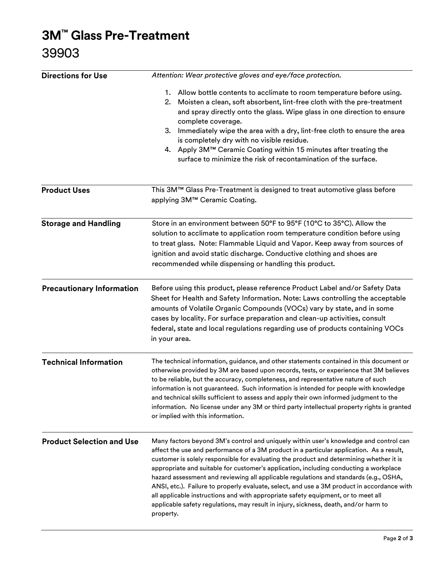## 3M™ Glass Pre-Treatment 39903

| <b>Directions for Use</b>        | Attention: Wear protective gloves and eye/face protection.                                                                                                                                                                                                                                                                                                                                                                                                                                                                                                                                                                                                                                                                                             |  |
|----------------------------------|--------------------------------------------------------------------------------------------------------------------------------------------------------------------------------------------------------------------------------------------------------------------------------------------------------------------------------------------------------------------------------------------------------------------------------------------------------------------------------------------------------------------------------------------------------------------------------------------------------------------------------------------------------------------------------------------------------------------------------------------------------|--|
|                                  | 1. Allow bottle contents to acclimate to room temperature before using.<br>Moisten a clean, soft absorbent, lint-free cloth with the pre-treatment<br>2.<br>and spray directly onto the glass. Wipe glass in one direction to ensure<br>complete coverage.<br>3. Immediately wipe the area with a dry, lint-free cloth to ensure the area<br>is completely dry with no visible residue.<br>4. Apply 3M™ Ceramic Coating within 15 minutes after treating the<br>surface to minimize the risk of recontamination of the surface.                                                                                                                                                                                                                        |  |
| <b>Product Uses</b>              | This 3M™ Glass Pre-Treatment is designed to treat automotive glass before<br>applying 3M™ Ceramic Coating.                                                                                                                                                                                                                                                                                                                                                                                                                                                                                                                                                                                                                                             |  |
| <b>Storage and Handling</b>      | Store in an environment between 50°F to 95°F (10°C to 35°C). Allow the<br>solution to acclimate to application room temperature condition before using<br>to treat glass. Note: Flammable Liquid and Vapor. Keep away from sources of<br>ignition and avoid static discharge. Conductive clothing and shoes are<br>recommended while dispensing or handling this product.                                                                                                                                                                                                                                                                                                                                                                              |  |
| <b>Precautionary Information</b> | Before using this product, please reference Product Label and/or Safety Data<br>Sheet for Health and Safety Information. Note: Laws controlling the acceptable<br>amounts of Volatile Organic Compounds (VOCs) vary by state, and in some<br>cases by locality. For surface preparation and clean-up activities, consult<br>federal, state and local regulations regarding use of products containing VOCs<br>in your area.                                                                                                                                                                                                                                                                                                                            |  |
| <b>Technical Information</b>     | The technical information, guidance, and other statements contained in this document or<br>otherwise provided by 3M are based upon records, tests, or experience that 3M believes<br>to be reliable, but the accuracy, completeness, and representative nature of such<br>information is not guaranteed. Such information is intended for people with knowledge<br>and technical skills sufficient to assess and apply their own informed judgment to the<br>information. No license under any 3M or third party intellectual property rights is granted<br>or implied with this information.                                                                                                                                                          |  |
| <b>Product Selection and Use</b> | Many factors beyond 3M's control and uniquely within user's knowledge and control can<br>affect the use and performance of a 3M product in a particular application. As a result,<br>customer is solely responsible for evaluating the product and determining whether it is<br>appropriate and suitable for customer's application, including conducting a workplace<br>hazard assessment and reviewing all applicable regulations and standards (e.g., OSHA,<br>ANSI, etc.). Failure to properly evaluate, select, and use a 3M product in accordance with<br>all applicable instructions and with appropriate safety equipment, or to meet all<br>applicable safety regulations, may result in injury, sickness, death, and/or harm to<br>property. |  |